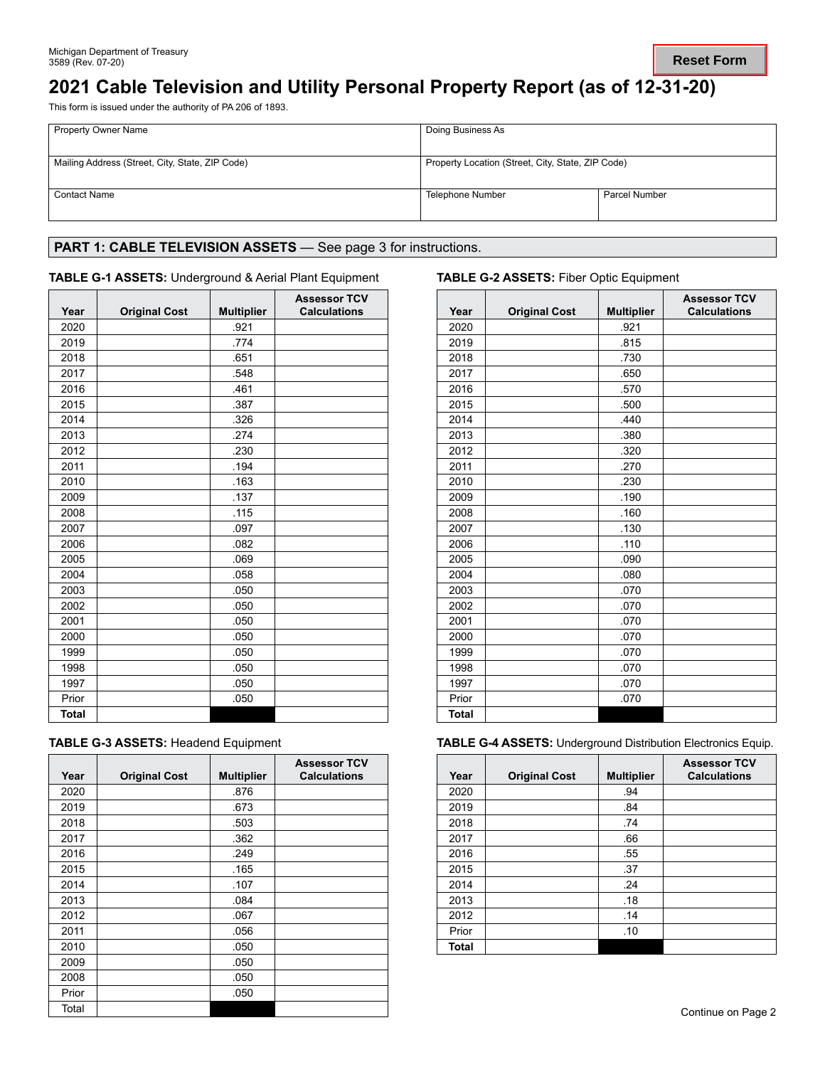# **2021 Cable Television and Utility Personal Property Report (as of 12-31-20)**

This form is issued under the authority of PA 206 of 1893.

| <b>Property Owner Name</b>                      | Doing Business As                                 |               |
|-------------------------------------------------|---------------------------------------------------|---------------|
| Mailing Address (Street, City, State, ZIP Code) | Property Location (Street, City, State, ZIP Code) |               |
| <b>Contact Name</b>                             | Telephone Number                                  | Parcel Number |

# PART 1: CABLE TELEVISION ASSETS - See page 3 for instructions.

### **TABLE G-1 ASSETS:** Underground & Aerial Plant Equipment **TABLE G-2 ASSETS:** Fiber Optic Equipment

| Year         | <b>Original Cost</b> | <b>Multiplier</b> | <b>Assessor TCV</b><br><b>Calculations</b> |
|--------------|----------------------|-------------------|--------------------------------------------|
| 2020         |                      | .921              |                                            |
| 2019         |                      | .774              |                                            |
| 2018         |                      | .651              |                                            |
| 2017         |                      | .548              |                                            |
| 2016         |                      | .461              |                                            |
| 2015         |                      | .387              |                                            |
| 2014         |                      | .326              |                                            |
| 2013         |                      | .274              |                                            |
| 2012         |                      | .230              |                                            |
| 2011         |                      | .194              |                                            |
| 2010         |                      | .163              |                                            |
| 2009         |                      | .137              |                                            |
| 2008         |                      | .115              |                                            |
| 2007         |                      | .097              |                                            |
| 2006         |                      | .082              |                                            |
| 2005         |                      | .069              |                                            |
| 2004         |                      | .058              |                                            |
| 2003         |                      | .050              |                                            |
| 2002         |                      | .050              |                                            |
| 2001         |                      | .050              |                                            |
| 2000         |                      | .050              |                                            |
| 1999         |                      | .050              |                                            |
| 1998         |                      | .050              |                                            |
| 1997         |                      | .050              |                                            |
| Prior        |                      | .050              |                                            |
| <b>Total</b> |                      |                   |                                            |

| <b>TABLE G-3 ASSETS: Headend Equipment</b> |
|--------------------------------------------|
|--------------------------------------------|

| Year  | <b>Original Cost</b> | <b>Multiplier</b> | <b>Assessor TCV</b><br><b>Calculations</b> |
|-------|----------------------|-------------------|--------------------------------------------|
| 2020  |                      | .876              |                                            |
| 2019  |                      | .673              |                                            |
| 2018  |                      | .503              |                                            |
| 2017  |                      | .362              |                                            |
| 2016  |                      | .249              |                                            |
| 2015  |                      | .165              |                                            |
| 2014  |                      | .107              |                                            |
| 2013  |                      | .084              |                                            |
| 2012  |                      | .067              |                                            |
| 2011  |                      | .056              |                                            |
| 2010  |                      | .050              |                                            |
| 2009  |                      | .050              |                                            |
| 2008  |                      | .050              |                                            |
| Prior |                      | .050              |                                            |
| Total |                      |                   |                                            |

| Year         | <b>Original Cost</b> | <b>Multiplier</b> | <b>Assessor TCV</b><br><b>Calculations</b> |
|--------------|----------------------|-------------------|--------------------------------------------|
| 2020         |                      | .921              |                                            |
| 2019         |                      | .815              |                                            |
| 2018         |                      | .730              |                                            |
| 2017         |                      | .650              |                                            |
| 2016         |                      | .570              |                                            |
| 2015         |                      | .500              |                                            |
| 2014         |                      | .440              |                                            |
| 2013         |                      | .380              |                                            |
| 2012         |                      | .320              |                                            |
| 2011         |                      | .270              |                                            |
| 2010         |                      | .230              |                                            |
| 2009         |                      | .190              |                                            |
| 2008         |                      | .160              |                                            |
| 2007         |                      | .130              |                                            |
| 2006         |                      | .110              |                                            |
| 2005         |                      | .090              |                                            |
| 2004         |                      | .080              |                                            |
| 2003         |                      | .070              |                                            |
| 2002         |                      | .070              |                                            |
| 2001         |                      | .070              |                                            |
| 2000         |                      | .070              |                                            |
| 1999         |                      | .070              |                                            |
| 1998         |                      | .070              |                                            |
| 1997         |                      | .070              |                                            |
| Prior        |                      | .070              |                                            |
| <b>Total</b> |                      |                   |                                            |

**TABLE G-4 ASSETS: Underground Distribution Electronics Equip.** 

| Year  | <b>Original Cost</b> | <b>Multiplier</b> | <b>Assessor TCV</b><br><b>Calculations</b> |
|-------|----------------------|-------------------|--------------------------------------------|
| 2020  |                      | .94               |                                            |
| 2019  |                      | .84               |                                            |
| 2018  |                      | .74               |                                            |
| 2017  |                      | .66               |                                            |
| 2016  |                      | .55               |                                            |
| 2015  |                      | .37               |                                            |
| 2014  |                      | .24               |                                            |
| 2013  |                      | .18               |                                            |
| 2012  |                      | .14               |                                            |
| Prior |                      | .10               |                                            |
| Total |                      |                   |                                            |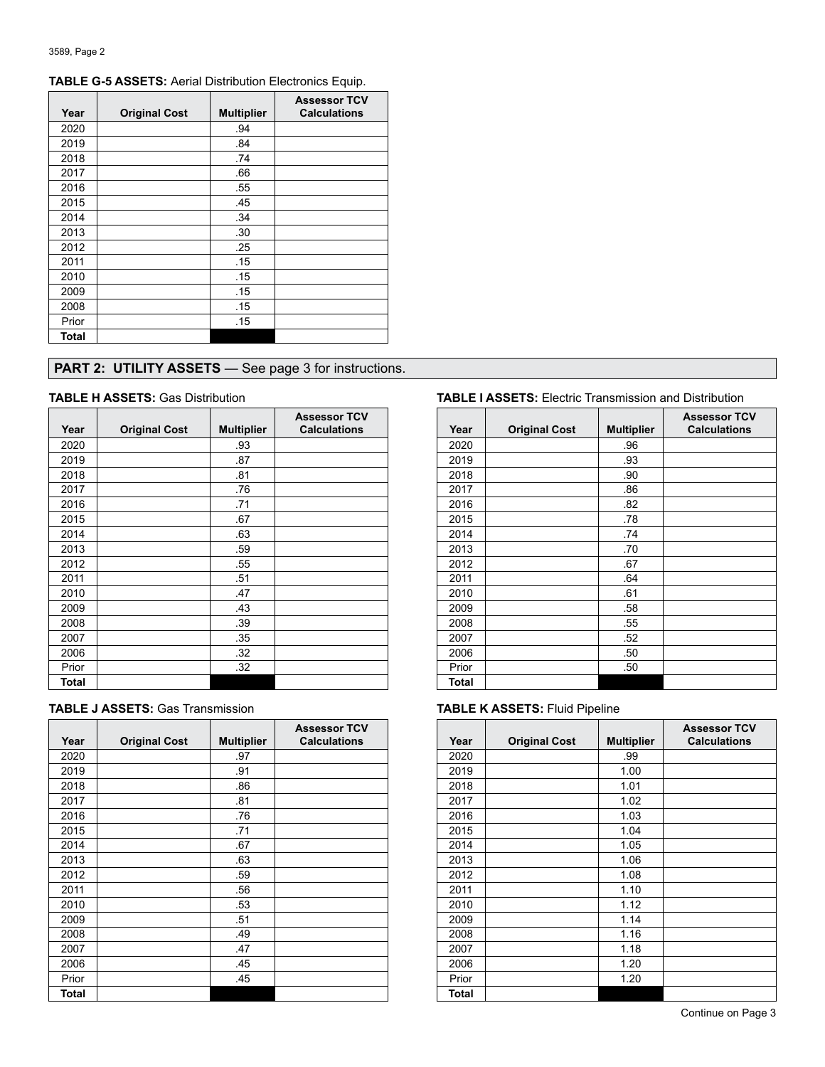| Year         | <b>Original Cost</b> | <b>Multiplier</b> | <b>Assessor TCV</b><br><b>Calculations</b> |
|--------------|----------------------|-------------------|--------------------------------------------|
| 2020         |                      | .94               |                                            |
| 2019         |                      | .84               |                                            |
| 2018         |                      | .74               |                                            |
| 2017         |                      | .66               |                                            |
| 2016         |                      | .55               |                                            |
| 2015         |                      | .45               |                                            |
| 2014         |                      | .34               |                                            |
| 2013         |                      | .30               |                                            |
| 2012         |                      | .25               |                                            |
| 2011         |                      | .15               |                                            |
| 2010         |                      | .15               |                                            |
| 2009         |                      | .15               |                                            |
| 2008         |                      | .15               |                                            |
| Prior        |                      | .15               |                                            |
| <b>Total</b> |                      |                   |                                            |

# **TABLE G-5 ASSETS:** Aerial Distribution Electronics Equip.

# **PART 2: UTILITY ASSETS** — See page 3 for instructions.

| Year  | <b>Original Cost</b> | <b>Multiplier</b> | <b>Assessor TCV</b><br><b>Calculations</b> |
|-------|----------------------|-------------------|--------------------------------------------|
| 2020  |                      | .93               |                                            |
| 2019  |                      | .87               |                                            |
| 2018  |                      | .81               |                                            |
| 2017  |                      | .76               |                                            |
| 2016  |                      | .71               |                                            |
| 2015  |                      | .67               |                                            |
| 2014  |                      | .63               |                                            |
| 2013  |                      | .59               |                                            |
| 2012  |                      | .55               |                                            |
| 2011  |                      | .51               |                                            |
| 2010  |                      | .47               |                                            |
| 2009  |                      | .43               |                                            |
| 2008  |                      | .39               |                                            |
| 2007  |                      | .35               |                                            |
| 2006  |                      | .32               |                                            |
| Prior |                      | .32               |                                            |
| Total |                      |                   |                                            |

| <b>TABLE J ASSETS: Gas Transmission</b> |  |
|-----------------------------------------|--|
|-----------------------------------------|--|

| Year  | <b>Original Cost</b> | <b>Multiplier</b> | <b>Assessor TCV</b><br><b>Calculations</b> |
|-------|----------------------|-------------------|--------------------------------------------|
| 2020  |                      | .97               |                                            |
| 2019  |                      | .91               |                                            |
| 2018  |                      | .86               |                                            |
| 2017  |                      | .81               |                                            |
| 2016  |                      | .76               |                                            |
| 2015  |                      | .71               |                                            |
| 2014  |                      | .67               |                                            |
| 2013  |                      | .63               |                                            |
| 2012  |                      | .59               |                                            |
| 2011  |                      | .56               |                                            |
| 2010  |                      | .53               |                                            |
| 2009  |                      | .51               |                                            |
| 2008  |                      | .49               |                                            |
| 2007  |                      | .47               |                                            |
| 2006  |                      | .45               |                                            |
| Prior |                      | .45               |                                            |
| Total |                      |                   |                                            |

### **TABLE H ASSETS:** Gas Distribution **TABLE I ASSETS:** Electric Transmission and Distribution

| Year  | <b>Original Cost</b> | <b>Multiplier</b> | <b>Assessor TCV</b><br><b>Calculations</b> |
|-------|----------------------|-------------------|--------------------------------------------|
| 2020  |                      | .96               |                                            |
| 2019  |                      | .93               |                                            |
| 2018  |                      | .90               |                                            |
| 2017  |                      | .86               |                                            |
| 2016  |                      | .82               |                                            |
| 2015  |                      | .78               |                                            |
| 2014  |                      | .74               |                                            |
| 2013  |                      | .70               |                                            |
| 2012  |                      | .67               |                                            |
| 2011  |                      | .64               |                                            |
| 2010  |                      | .61               |                                            |
| 2009  |                      | .58               |                                            |
| 2008  |                      | .55               |                                            |
| 2007  |                      | .52               |                                            |
| 2006  |                      | .50               |                                            |
| Prior |                      | .50               |                                            |
| Total |                      |                   |                                            |

### **TABLE K ASSETS: Fluid Pipeline**

| Year  | <b>Original Cost</b> | <b>Multiplier</b> | <b>Assessor TCV</b><br><b>Calculations</b> |
|-------|----------------------|-------------------|--------------------------------------------|
| 2020  |                      | .99               |                                            |
| 2019  |                      | 1.00              |                                            |
| 2018  |                      | 1.01              |                                            |
| 2017  |                      | 1.02              |                                            |
| 2016  |                      | 1.03              |                                            |
| 2015  |                      | 1.04              |                                            |
| 2014  |                      | 1.05              |                                            |
| 2013  |                      | 1.06              |                                            |
| 2012  |                      | 1.08              |                                            |
| 2011  |                      | 1.10              |                                            |
| 2010  |                      | 1.12              |                                            |
| 2009  |                      | 1.14              |                                            |
| 2008  |                      | 1.16              |                                            |
| 2007  |                      | 1.18              |                                            |
| 2006  |                      | 1.20              |                                            |
| Prior |                      | 1.20              |                                            |
| Total |                      |                   |                                            |